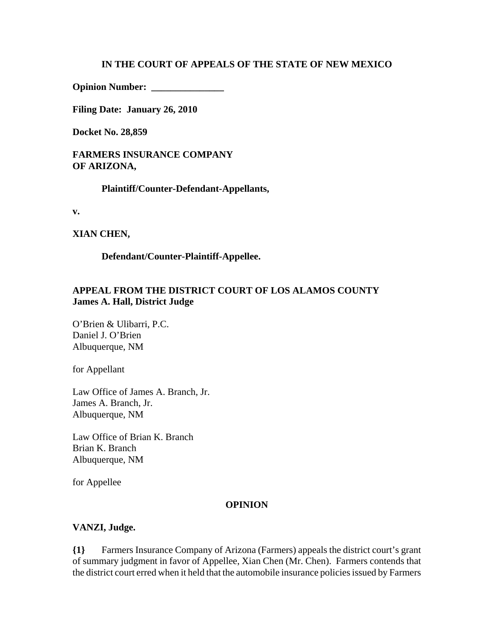#### **IN THE COURT OF APPEALS OF THE STATE OF NEW MEXICO**

**Opinion Number: \_\_\_\_\_\_\_\_\_\_\_\_\_\_\_**

**Filing Date: January 26, 2010**

**Docket No. 28,859** 

**FARMERS INSURANCE COMPANY OF ARIZONA,**

**Plaintiff/Counter-Defendant-Appellants,**

**v.**

**XIAN CHEN,**

**Defendant/Counter-Plaintiff-Appellee.**

### **APPEAL FROM THE DISTRICT COURT OF LOS ALAMOS COUNTY James A. Hall, District Judge**

O'Brien & Ulibarri, P.C. Daniel J. O'Brien Albuquerque, NM

for Appellant

Law Office of James A. Branch, Jr. James A. Branch, Jr. Albuquerque, NM

Law Office of Brian K. Branch Brian K. Branch Albuquerque, NM

for Appellee

#### **OPINION**

#### **VANZI, Judge.**

**{1}** Farmers Insurance Company of Arizona (Farmers) appeals the district court's grant of summary judgment in favor of Appellee, Xian Chen (Mr. Chen). Farmers contends that the district court erred when it held that the automobile insurance policies issued by Farmers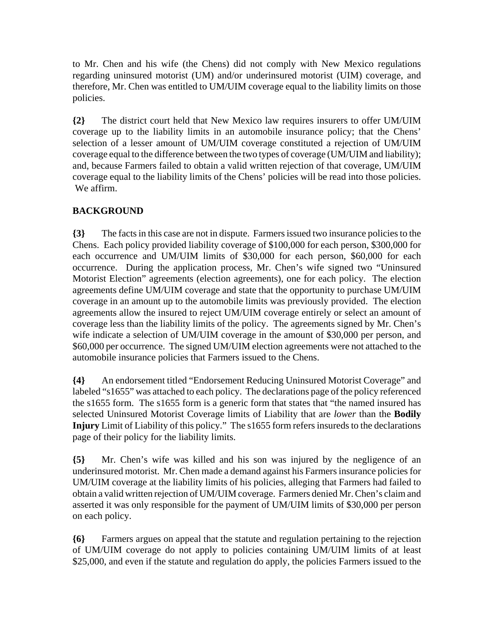to Mr. Chen and his wife (the Chens) did not comply with New Mexico regulations regarding uninsured motorist (UM) and/or underinsured motorist (UIM) coverage, and therefore, Mr. Chen was entitled to UM/UIM coverage equal to the liability limits on those policies.

**{2}** The district court held that New Mexico law requires insurers to offer UM/UIM coverage up to the liability limits in an automobile insurance policy; that the Chens' selection of a lesser amount of UM/UIM coverage constituted a rejection of UM/UIM coverage equal to the difference between the two types of coverage (UM/UIM and liability); and, because Farmers failed to obtain a valid written rejection of that coverage, UM/UIM coverage equal to the liability limits of the Chens' policies will be read into those policies. We affirm.

## **BACKGROUND**

**{3}** The facts in this case are not in dispute. Farmers issued two insurance policies to the Chens. Each policy provided liability coverage of \$100,000 for each person, \$300,000 for each occurrence and UM/UIM limits of \$30,000 for each person, \$60,000 for each occurrence. During the application process, Mr. Chen's wife signed two "Uninsured Motorist Election" agreements (election agreements), one for each policy. The election agreements define UM/UIM coverage and state that the opportunity to purchase UM/UIM coverage in an amount up to the automobile limits was previously provided. The election agreements allow the insured to reject UM/UIM coverage entirely or select an amount of coverage less than the liability limits of the policy. The agreements signed by Mr. Chen's wife indicate a selection of UM/UIM coverage in the amount of \$30,000 per person, and \$60,000 per occurrence. The signed UM/UIM election agreements were not attached to the automobile insurance policies that Farmers issued to the Chens.

**{4}** An endorsement titled "Endorsement Reducing Uninsured Motorist Coverage" and labeled "s1655" was attached to each policy. The declarations page of the policy referenced the s1655 form. The s1655 form is a generic form that states that "the named insured has selected Uninsured Motorist Coverage limits of Liability that are *lower* than the **Bodily Injury** Limit of Liability of this policy." The s1655 form refers insureds to the declarations page of their policy for the liability limits.

**{5}** Mr. Chen's wife was killed and his son was injured by the negligence of an underinsured motorist. Mr. Chen made a demand against his Farmers insurance policies for UM/UIM coverage at the liability limits of his policies, alleging that Farmers had failed to obtain a valid written rejection of UM/UIM coverage. Farmers denied Mr. Chen's claim and asserted it was only responsible for the payment of UM/UIM limits of \$30,000 per person on each policy.

**{6}** Farmers argues on appeal that the statute and regulation pertaining to the rejection of UM/UIM coverage do not apply to policies containing UM/UIM limits of at least \$25,000, and even if the statute and regulation do apply, the policies Farmers issued to the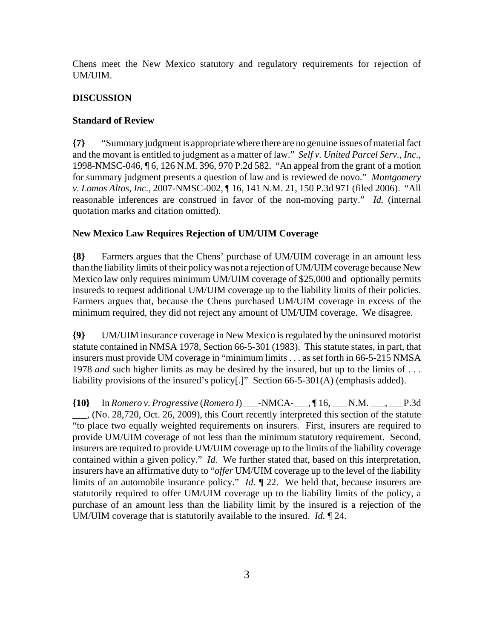Chens meet the New Mexico statutory and regulatory requirements for rejection of UM/UIM.

#### **DISCUSSION**

#### **Standard of Review**

**{7}** "Summary judgment is appropriate where there are no genuine issues of material fact and the movant is entitled to judgment as a matter of law." *Self v. United Parcel Serv., Inc.*, 1998-NMSC-046, ¶ 6, 126 N.M. 396, 970 P.2d 582. "An appeal from the grant of a motion for summary judgment presents a question of law and is reviewed de novo." *Montgomery v. Lomos Altos, Inc.*, 2007-NMSC-002, ¶ 16, 141 N.M. 21, 150 P.3d 971 (filed 2006). "All reasonable inferences are construed in favor of the non-moving party." *Id.* (internal quotation marks and citation omitted).

#### **New Mexico Law Requires Rejection of UM/UIM Coverage**

**{8}** Farmers argues that the Chens' purchase of UM/UIM coverage in an amount less than the liability limits of their policy was not a rejection of UM/UIM coverage because New Mexico law only requires minimum UM/UIM coverage of \$25,000 and optionally permits insureds to request additional UM/UIM coverage up to the liability limits of their policies. Farmers argues that, because the Chens purchased UM/UIM coverage in excess of the minimum required, they did not reject any amount of UM/UIM coverage. We disagree.

**{9}** UM/UIM insurance coverage in New Mexico is regulated by the uninsured motorist statute contained in NMSA 1978, Section 66-5-301 (1983). This statute states, in part, that insurers must provide UM coverage in "minimum limits . . . as set forth in 66-5-215 NMSA 1978 *and* such higher limits as may be desired by the insured, but up to the limits of . . . liability provisions of the insured's policy[.]" Section 66-5-301(A) (emphasis added).

**{10}** In *Romero v. Progressive* (*Romero I*) \_\_\_-NMCA-\_\_\_, ¶ 16, \_\_\_ N.M. \_\_\_, \_\_\_P.3d \_\_\_, (No. 28,720, Oct. 26, 2009), this Court recently interpreted this section of the statute "to place two equally weighted requirements on insurers. First, insurers are required to provide UM/UIM coverage of not less than the minimum statutory requirement. Second, insurers are required to provide UM/UIM coverage up to the limits of the liability coverage contained within a given policy." *Id.* We further stated that, based on this interpretation, insurers have an affirmative duty to "*offer* UM/UIM coverage up to the level of the liability limits of an automobile insurance policy." *Id.* ¶ 22. We held that, because insurers are statutorily required to offer UM/UIM coverage up to the liability limits of the policy, a purchase of an amount less than the liability limit by the insured is a rejection of the UM/UIM coverage that is statutorily available to the insured. *Id.* ¶ 24.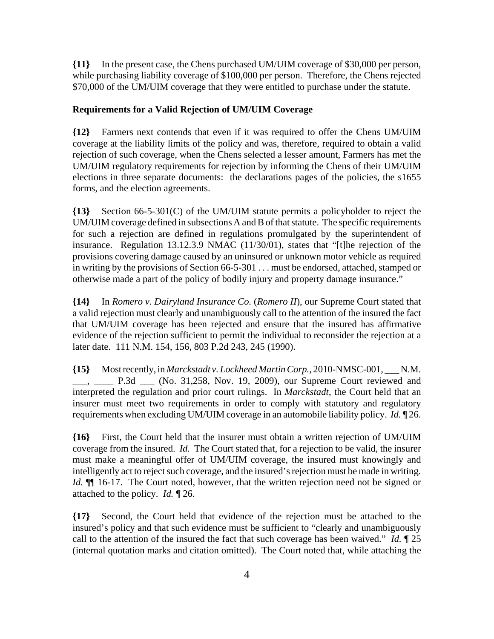**{11}** In the present case, the Chens purchased UM/UIM coverage of \$30,000 per person, while purchasing liability coverage of \$100,000 per person. Therefore, the Chens rejected \$70,000 of the UM/UIM coverage that they were entitled to purchase under the statute.

#### **Requirements for a Valid Rejection of UM/UIM Coverage**

**{12}** Farmers next contends that even if it was required to offer the Chens UM/UIM coverage at the liability limits of the policy and was, therefore, required to obtain a valid rejection of such coverage, when the Chens selected a lesser amount, Farmers has met the UM/UIM regulatory requirements for rejection by informing the Chens of their UM/UIM elections in three separate documents: the declarations pages of the policies, the s1655 forms, and the election agreements.

**{13}** Section 66-5-301(C) of the UM/UIM statute permits a policyholder to reject the UM/UIM coverage defined in subsections A and B of that statute. The specific requirements for such a rejection are defined in regulations promulgated by the superintendent of insurance. Regulation 13.12.3.9 NMAC (11/30/01), states that "[t]he rejection of the provisions covering damage caused by an uninsured or unknown motor vehicle as required in writing by the provisions of Section 66-5-301 . . . must be endorsed, attached, stamped or otherwise made a part of the policy of bodily injury and property damage insurance."

**{14}** In *Romero v. Dairyland Insurance Co.* (*Romero II*), our Supreme Court stated that a valid rejection must clearly and unambiguously call to the attention of the insured the fact that UM/UIM coverage has been rejected and ensure that the insured has affirmative evidence of the rejection sufficient to permit the individual to reconsider the rejection at a later date. 111 N.M. 154, 156, 803 P.2d 243, 245 (1990).

**{15}** Most recently, in *Marckstadt v. Lockheed Martin Corp.*, 2010-NMSC-001, \_\_\_ N.M. \_\_\_, \_\_\_\_ P.3d \_\_\_ (No. 31,258, Nov. 19, 2009), our Supreme Court reviewed and interpreted the regulation and prior court rulings. In *Marckstadt*, the Court held that an insurer must meet two requirements in order to comply with statutory and regulatory requirements when excluding UM/UIM coverage in an automobile liability policy. *Id.* ¶ 26.

**{16}** First, the Court held that the insurer must obtain a written rejection of UM/UIM coverage from the insured. *Id.* The Court stated that, for a rejection to be valid, the insurer must make a meaningful offer of UM/UIM coverage, the insured must knowingly and intelligently act to reject such coverage, and the insured's rejection must be made in writing. *Id.*  $\P$  16-17. The Court noted, however, that the written rejection need not be signed or attached to the policy. *Id.* ¶ 26.

**{17}** Second, the Court held that evidence of the rejection must be attached to the insured's policy and that such evidence must be sufficient to "clearly and unambiguously call to the attention of the insured the fact that such coverage has been waived." *Id.* ¶ 25 (internal quotation marks and citation omitted). The Court noted that, while attaching the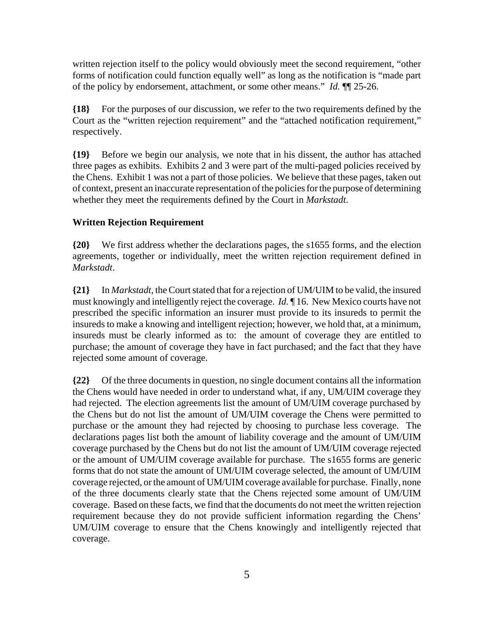written rejection itself to the policy would obviously meet the second requirement, "other forms of notification could function equally well" as long as the notification is "made part of the policy by endorsement, attachment, or some other means." *Id.* ¶¶ 25-26.

**{18}** For the purposes of our discussion, we refer to the two requirements defined by the Court as the "written rejection requirement" and the "attached notification requirement," respectively.

**{19}** Before we begin our analysis, we note that in his dissent, the author has attached three pages as exhibits. Exhibits 2 and 3 were part of the multi-paged policies received by the Chens. Exhibit 1 was not a part of those policies. We believe that these pages, taken out of context, present an inaccurate representation of the policies for the purpose of determining whether they meet the requirements defined by the Court in *Markstadt*.

#### **Written Rejection Requirement**

**{20}** We first address whether the declarations pages, the s1655 forms, and the election agreements, together or individually, meet the written rejection requirement defined in *Markstadt*.

**{21}** In *Markstadt*, the Court stated that for a rejection of UM/UIM to be valid, the insured must knowingly and intelligently reject the coverage. *Id.* ¶ 16. New Mexico courts have not prescribed the specific information an insurer must provide to its insureds to permit the insureds to make a knowing and intelligent rejection; however, we hold that, at a minimum, insureds must be clearly informed as to: the amount of coverage they are entitled to purchase; the amount of coverage they have in fact purchased; and the fact that they have rejected some amount of coverage.

**{22}** Of the three documents in question, no single document contains all the information the Chens would have needed in order to understand what, if any, UM/UIM coverage they had rejected. The election agreements list the amount of UM/UIM coverage purchased by the Chens but do not list the amount of UM/UIM coverage the Chens were permitted to purchase or the amount they had rejected by choosing to purchase less coverage. The declarations pages list both the amount of liability coverage and the amount of UM/UIM coverage purchased by the Chens but do not list the amount of UM/UIM coverage rejected or the amount of UM/UIM coverage available for purchase. The s1655 forms are generic forms that do not state the amount of UM/UIM coverage selected, the amount of UM/UIM coverage rejected, or the amount of UM/UIM coverage available for purchase. Finally, none of the three documents clearly state that the Chens rejected some amount of UM/UIM coverage. Based on these facts, we find that the documents do not meet the written rejection requirement because they do not provide sufficient information regarding the Chens' UM/UIM coverage to ensure that the Chens knowingly and intelligently rejected that coverage.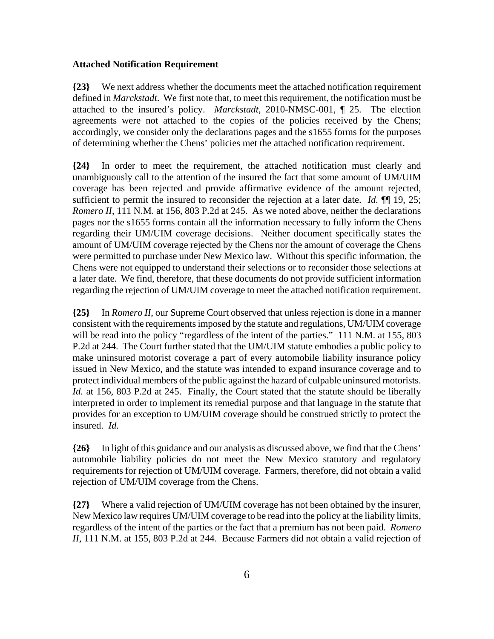#### **Attached Notification Requirement**

**{23}** We next address whether the documents meet the attached notification requirement defined in *Marckstadt*. We first note that, to meet this requirement, the notification must be attached to the insured's policy. *Marckstadt*, 2010-NMSC-001, ¶ 25. The election agreements were not attached to the copies of the policies received by the Chens; accordingly, we consider only the declarations pages and the s1655 forms for the purposes of determining whether the Chens' policies met the attached notification requirement.

**{24}** In order to meet the requirement, the attached notification must clearly and unambiguously call to the attention of the insured the fact that some amount of UM/UIM coverage has been rejected and provide affirmative evidence of the amount rejected, sufficient to permit the insured to reconsider the rejection at a later date. *Id.*  $\P$  19, 25; *Romero II*, 111 N.M. at 156, 803 P.2d at 245. As we noted above, neither the declarations pages nor the s1655 forms contain all the information necessary to fully inform the Chens regarding their UM/UIM coverage decisions. Neither document specifically states the amount of UM/UIM coverage rejected by the Chens nor the amount of coverage the Chens were permitted to purchase under New Mexico law. Without this specific information, the Chens were not equipped to understand their selections or to reconsider those selections at a later date. We find, therefore, that these documents do not provide sufficient information regarding the rejection of UM/UIM coverage to meet the attached notification requirement.

**{25}** In *Romero II*, our Supreme Court observed that unless rejection is done in a manner consistent with the requirements imposed by the statute and regulations, UM/UIM coverage will be read into the policy "regardless of the intent of the parties." 111 N.M. at 155, 803 P.2d at 244. The Court further stated that the UM/UIM statute embodies a public policy to make uninsured motorist coverage a part of every automobile liability insurance policy issued in New Mexico, and the statute was intended to expand insurance coverage and to protect individual members of the public against the hazard of culpable uninsured motorists. *Id.* at 156, 803 P.2d at 245. Finally, the Court stated that the statute should be liberally interpreted in order to implement its remedial purpose and that language in the statute that provides for an exception to UM/UIM coverage should be construed strictly to protect the insured. *Id.*

**{26}** In light of this guidance and our analysis as discussed above, we find that the Chens' automobile liability policies do not meet the New Mexico statutory and regulatory requirements for rejection of UM/UIM coverage. Farmers, therefore, did not obtain a valid rejection of UM/UIM coverage from the Chens.

**{27}** Where a valid rejection of UM/UIM coverage has not been obtained by the insurer, New Mexico law requires UM/UIM coverage to be read into the policy at the liability limits, regardless of the intent of the parties or the fact that a premium has not been paid. *Romero II*, 111 N.M. at 155, 803 P.2d at 244. Because Farmers did not obtain a valid rejection of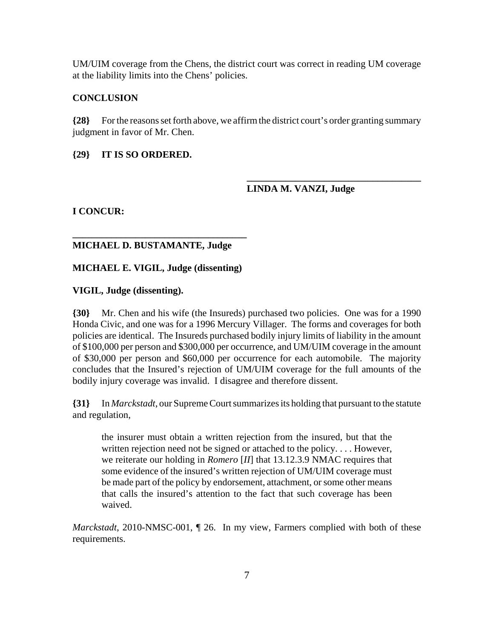UM/UIM coverage from the Chens, the district court was correct in reading UM coverage at the liability limits into the Chens' policies.

#### **CONCLUSION**

**{28}** For the reasons set forth above, we affirm the district court's order granting summary judgment in favor of Mr. Chen.

#### **{29} IT IS SO ORDERED.**

**LINDA M. VANZI, Judge**

**\_\_\_\_\_\_\_\_\_\_\_\_\_\_\_\_\_\_\_\_\_\_\_\_\_\_\_\_\_\_\_\_\_\_\_\_**

#### **I CONCUR:**

#### **MICHAEL D. BUSTAMANTE, Judge**

**\_\_\_\_\_\_\_\_\_\_\_\_\_\_\_\_\_\_\_\_\_\_\_\_\_\_\_\_\_\_\_\_\_\_\_\_**

#### **MICHAEL E. VIGIL, Judge (dissenting)**

#### **VIGIL, Judge (dissenting).**

**{30}** Mr. Chen and his wife (the Insureds) purchased two policies. One was for a 1990 Honda Civic, and one was for a 1996 Mercury Villager. The forms and coverages for both policies are identical. The Insureds purchased bodily injury limits of liability in the amount of \$100,000 per person and \$300,000 per occurrence, and UM/UIM coverage in the amount of \$30,000 per person and \$60,000 per occurrence for each automobile. The majority concludes that the Insured's rejection of UM/UIM coverage for the full amounts of the bodily injury coverage was invalid. I disagree and therefore dissent.

**{31}** In *Marckstadt*, our Supreme Court summarizes its holding that pursuant to the statute and regulation,

the insurer must obtain a written rejection from the insured, but that the written rejection need not be signed or attached to the policy.... However, we reiterate our holding in *Romero* [*II*] that 13.12.3.9 NMAC requires that some evidence of the insured's written rejection of UM/UIM coverage must be made part of the policy by endorsement, attachment, or some other means that calls the insured's attention to the fact that such coverage has been waived.

*Marckstadt*, 2010-NMSC-001, ¶ 26. In my view, Farmers complied with both of these requirements.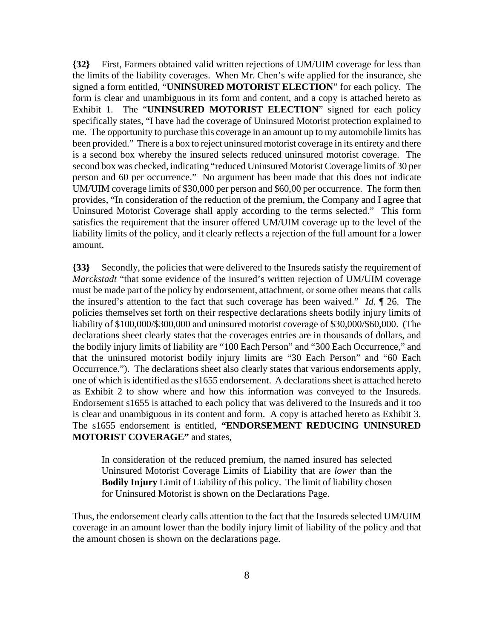**{32}** First, Farmers obtained valid written rejections of UM/UIM coverage for less than the limits of the liability coverages. When Mr. Chen's wife applied for the insurance, she signed a form entitled, "**UNINSURED MOTORIST ELECTION**" for each policy. The form is clear and unambiguous in its form and content, and a copy is attached hereto as Exhibit 1. The "**UNINSURED MOTORIST ELECTION**" signed for each policy specifically states, "I have had the coverage of Uninsured Motorist protection explained to me. The opportunity to purchase this coverage in an amount up to my automobile limits has been provided." There is a box to reject uninsured motorist coverage in its entirety and there is a second box whereby the insured selects reduced uninsured motorist coverage. The second box was checked, indicating "reduced Uninsured Motorist Coverage limits of 30 per person and 60 per occurrence." No argument has been made that this does not indicate UM/UIM coverage limits of \$30,000 per person and \$60,00 per occurrence. The form then provides, "In consideration of the reduction of the premium, the Company and I agree that Uninsured Motorist Coverage shall apply according to the terms selected." This form satisfies the requirement that the insurer offered UM/UIM coverage up to the level of the liability limits of the policy, and it clearly reflects a rejection of the full amount for a lower amount.

**{33}** Secondly, the policies that were delivered to the Insureds satisfy the requirement of *Marckstadt* "that some evidence of the insured's written rejection of UM/UIM coverage must be made part of the policy by endorsement, attachment, or some other means that calls the insured's attention to the fact that such coverage has been waived." *Id.* ¶ 26. The policies themselves set forth on their respective declarations sheets bodily injury limits of liability of \$100,000/\$300,000 and uninsured motorist coverage of \$30,000/\$60,000. (The declarations sheet clearly states that the coverages entries are in thousands of dollars, and the bodily injury limits of liability are "100 Each Person" and "300 Each Occurrence," and that the uninsured motorist bodily injury limits are "30 Each Person" and "60 Each Occurrence."). The declarations sheet also clearly states that various endorsements apply, one of which is identified as the s1655 endorsement. A declarations sheet is attached hereto as Exhibit 2 to show where and how this information was conveyed to the Insureds. Endorsement s1655 is attached to each policy that was delivered to the Insureds and it too is clear and unambiguous in its content and form. A copy is attached hereto as Exhibit 3. The s1655 endorsement is entitled, **"ENDORSEMENT REDUCING UNINSURED MOTORIST COVERAGE"** and states,

In consideration of the reduced premium, the named insured has selected Uninsured Motorist Coverage Limits of Liability that are *lower* than the **Bodily Injury** Limit of Liability of this policy. The limit of liability chosen for Uninsured Motorist is shown on the Declarations Page.

Thus, the endorsement clearly calls attention to the fact that the Insureds selected UM/UIM coverage in an amount lower than the bodily injury limit of liability of the policy and that the amount chosen is shown on the declarations page.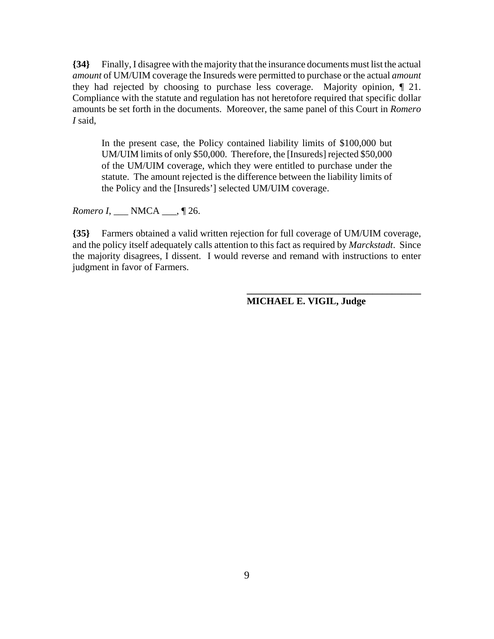**{34}** Finally, I disagree with the majority that the insurance documents must list the actual *amount* of UM/UIM coverage the Insureds were permitted to purchase or the actual *amount* they had rejected by choosing to purchase less coverage. Majority opinion, ¶ 21. Compliance with the statute and regulation has not heretofore required that specific dollar amounts be set forth in the documents. Moreover, the same panel of this Court in *Romero I* said,

In the present case, the Policy contained liability limits of \$100,000 but UM/UIM limits of only \$50,000. Therefore, the [Insureds] rejected \$50,000 of the UM/UIM coverage, which they were entitled to purchase under the statute. The amount rejected is the difference between the liability limits of the Policy and the [Insureds'] selected UM/UIM coverage.

*Romero I*, \_\_\_ NMCA \_\_\_, ¶ 26.

**{35}** Farmers obtained a valid written rejection for full coverage of UM/UIM coverage, and the policy itself adequately calls attention to this fact as required by *Marckstadt*. Since the majority disagrees, I dissent. I would reverse and remand with instructions to enter judgment in favor of Farmers.

**MICHAEL E. VIGIL, Judge**

**\_\_\_\_\_\_\_\_\_\_\_\_\_\_\_\_\_\_\_\_\_\_\_\_\_\_\_\_\_\_\_\_\_\_\_\_**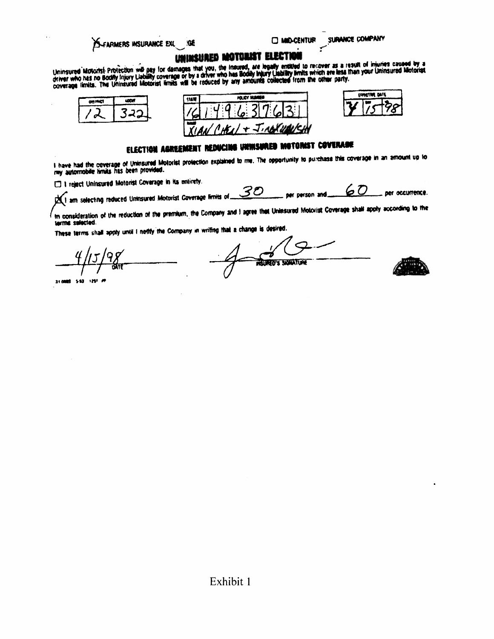#### S-FARMERS INSURANCE EXL IGE

**ED MID-CENTUR** 

SURANCE COMPANY

## UNINSURED MOTORIST ELECTI

Uninsured Motorist Protection will pay for damages that you, the Insured, are legally entitled to recover as a result of injuries caused by a<br>driver who has no Bodily injury Llability coverage or by a driver who has Bodily







# ELECTION AGREEMENT REDUCING UNINSURED MOTORIST COVERAGE

I have had the coverage of Uninsured Motorist protection explained to me. The opportunity to purchass this coverage in an amount up to<br>my automobile limits his been provided.

E I reject Uninsured Motorist Coverage in its entirety.

 $\chi$  am selecting reduced Uninsured Motorist Coverage limits of  $\mathscr{SD}$  $60$ per occurrence. per person and

In consideration of the reduction of the premium, the Company and I agree that Uninsured Motorist Coverage shall apply according to the terms selected.

These terms shall apply until I notify the Company in writing that a change is desired.

310000 550 1251 77

-7 **RELINED'S SIGNATURE** 

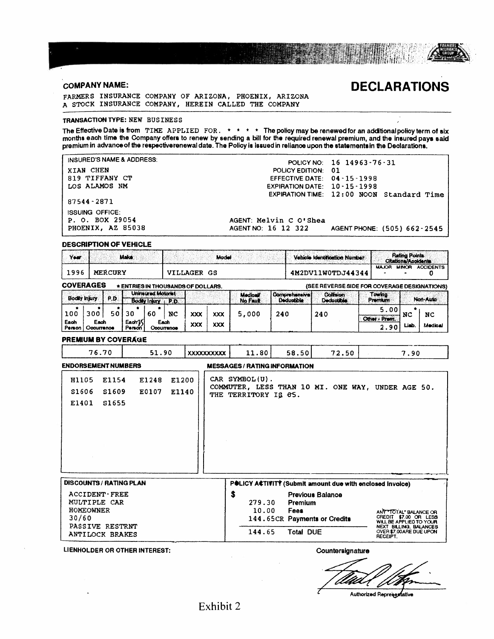**COMPANY NAME:** 

## **DECLARATIONS**

FARMERS INSURANCE COMPANY OF ARIZONA, PHOENIX, ARIZONA A STOCK INSURANCE COMPANY, HEREIN CALLED THE COMPANY

#### TRANSACTION TYPE: NEW BUSINESS

The Effective Date is from TIME APPLIED FOR.  $* * * *$  The policy may be renewed for an additional policy term of six months each time the Company offers to renew by sending a bill for the required renewal premium, and the i

INSURED'S NAME & ADDRESS: XIAN CHEN

819 TIFFANY CT LOS ALAMOS NM

87544-2871

**ISSUING OFFICE:** P. O. BOX 29054 PHOENIX, AZ 85038

AGENT: Melvin C O'Shea AGENT NO: 16 12 322

AGENT PHONE: (505) 662-2545

POLICY NO: 16 14963-76-31<br>POLICY EDITION: 01

EXPIRATION TIME: 12:00 NOON Standard Time

EFFECTIVE DATE: 04-15-1998

EXPIRATION DATE: 10-15-1998

#### **DESCRIPTION OF VEHICLE**

| Your                 |             |                | Make         |                                                   |            |                                    | Model |                            |                                     | Vehicle Identification Number                |                           | <b>Rating Points:</b><br>Citations/Acoidents |                  |
|----------------------|-------------|----------------|--------------|---------------------------------------------------|------------|------------------------------------|-------|----------------------------|-------------------------------------|----------------------------------------------|---------------------------|----------------------------------------------|------------------|
| 1996                 |             | <b>MERCURY</b> |              |                                                   |            | VILLAGER GS                        |       |                            |                                     | 4M2DV11W0TDJ44344                            | <b>MAJOR</b>              | <b>MINOR</b>                                 | <b>ACCIDENTS</b> |
| <b>COVERAGES</b>     |             |                |              |                                                   |            | * ENTRIES IN THOUSANDS OF DOLLARS. |       |                            |                                     | (SEE REVERSE SIDE FOR COVERAGE DESIGNATIONS) |                           |                                              |                  |
| <b>Bodily injury</b> |             | P.D.           |              | <b>Unineured Motorist</b><br>Bodily Injury   P.D. |            |                                    |       | <b>Medical</b><br>No Fault | <b>Comprehensive!</b><br>Deductible | <b>Collision</b><br><b>Decluctible</b>       | Towing:<br><b>Premium</b> |                                              | Non-Auto         |
| 100<br>Each          | 300<br>Each | 50             | 30<br>Each K | 60<br>Each                                        | NC         | XXX                                | XXX   | 5,000                      | 240                                 | 240                                          | 5.00<br>Other - Prem.     | NC                                           | NC               |
| Person               | Occurrence  |                | Person       |                                                   | Occurrence | XXX                                | XXX   |                            |                                     |                                              | 2.90                      | طملنا                                        | Medical          |

#### **PREMIUM BY COVERAGE**

| 76.70                                                                                                                                              |                         | 51.90          |                | <b>XXXXXXXXXXX</b> | 11.80                                  | 58.50                                      | 72.50                                                   | 7.90                                                                                                                                                                                                     |
|----------------------------------------------------------------------------------------------------------------------------------------------------|-------------------------|----------------|----------------|--------------------|----------------------------------------|--------------------------------------------|---------------------------------------------------------|----------------------------------------------------------------------------------------------------------------------------------------------------------------------------------------------------------|
| <b>ENDORSEMENT NUMBERS</b><br><b>MESSAGES/RATING INFORMATION</b>                                                                                   |                         |                |                |                    |                                        |                                            |                                                         |                                                                                                                                                                                                          |
| H1105<br>S <sub>1606</sub><br>E1401                                                                                                                | E1154<br>S1609<br>S1655 | E1248<br>E0107 | E1200<br>E1140 |                    | CAR SYMBOL(U).<br>THE TERRITORY IS 05. |                                            |                                                         | COMMUTER, LESS THAN 10 MI. ONE WAY, UNDER AGE 50.                                                                                                                                                        |
| <b>DISCOUNTS / RATING PLAN</b><br><b>ACCIDENT - FREE</b><br>MULTIPLE CAR<br><b>HOMEOWNER</b><br>30/60<br>PASSIVE RESTRNT<br><b>ANTILOCK BRAKES</b> |                         |                |                |                    | \$<br>279.30<br>10.00<br>144.65        | Premium<br><b>Fees</b><br><b>Total DUE</b> | <b>Previous Balance</b><br>144.65CR Payments or Credits | POLICY ACTIVITY (Submit amount due with enclosed invoice)<br>ANY TOTAL" BALANCE OR<br>CREDIT \$7.00 OR LESS<br>WILL BE APPLIED TO YOUR<br>NEXT BILLING, BALANCES<br>OVER \$7,00 ARE DUE UPON<br>RECEIPT. |

LIENHOLDER OR OTHER INTEREST:

Countersignature

Authorized Representative

Exhibit 2